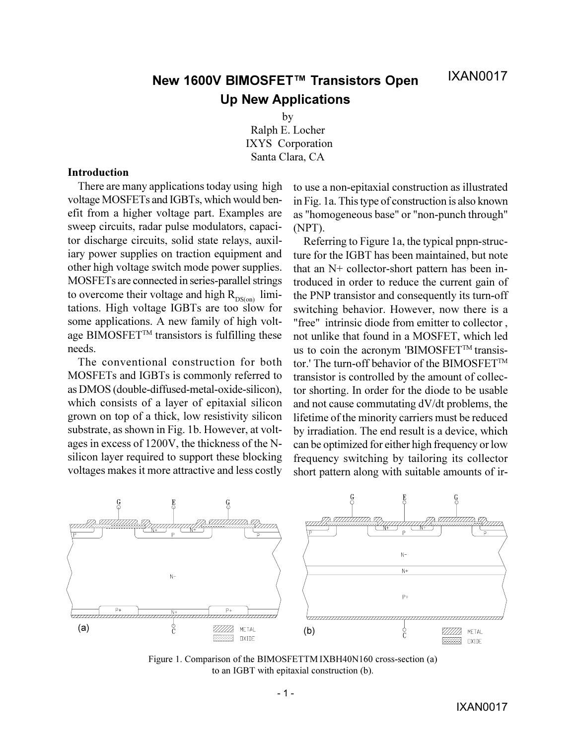# **New 1600V BIMOSFET™ Transistors Open Up New Applications**

by

Ralph E. Locher IXYS Corporation Santa Clara, CA

### **Introduction**

There are many applications today using high voltage MOSFETs and IGBTs, which would benefit from a higher voltage part. Examples are sweep circuits, radar pulse modulators, capacitor discharge circuits, solid state relays, auxiliary power supplies on traction equipment and other high voltage switch mode power supplies. MOSFETs are connected in series-parallel strings to overcome their voltage and high  $R_{DS(on)}$  limitations. High voltage IGBTs are too slow for some applications. A new family of high voltage BIMOSFET<sup>™</sup> transistors is fulfilling these needs.

The conventional construction for both MOSFETs and IGBTs is commonly referred to as DMOS (double-diffused-metal-oxide-silicon), which consists of a layer of epitaxial silicon grown on top of a thick, low resistivity silicon substrate, as shown in Fig. 1b. However, at voltages in excess of 1200V, the thickness of the Nsilicon layer required to support these blocking voltages makes it more attractive and less costly

to use a non-epitaxial construction as illustrated in Fig. 1a. This type of construction is also known as "homogeneous base" or "non-punch through" (NPT).

Referring to Figure 1a, the typical pnpn-structure for the IGBT has been maintained, but note that an N+ collector-short pattern has been introduced in order to reduce the current gain of the PNP transistor and consequently its turn-off switching behavior. However, now there is a "free" intrinsic diode from emitter to collector , not unlike that found in a MOSFET, which led us to coin the acronym 'BIMOSFET™ transistor.' The turn-off behavior of the BIMOSFET<sup>TM</sup> transistor is controlled by the amount of collector shorting. In order for the diode to be usable and not cause commutating dV/dt problems, the lifetime of the minority carriers must be reduced by irradiation. The end result is a device, which can be optimized for either high frequency or low frequency switching by tailoring its collector short pattern along with suitable amounts of ir-



Figure 1. Comparison of the BIMOSFETTM IXBH40N160 cross-section (a) to an IGBT with epitaxial construction (b).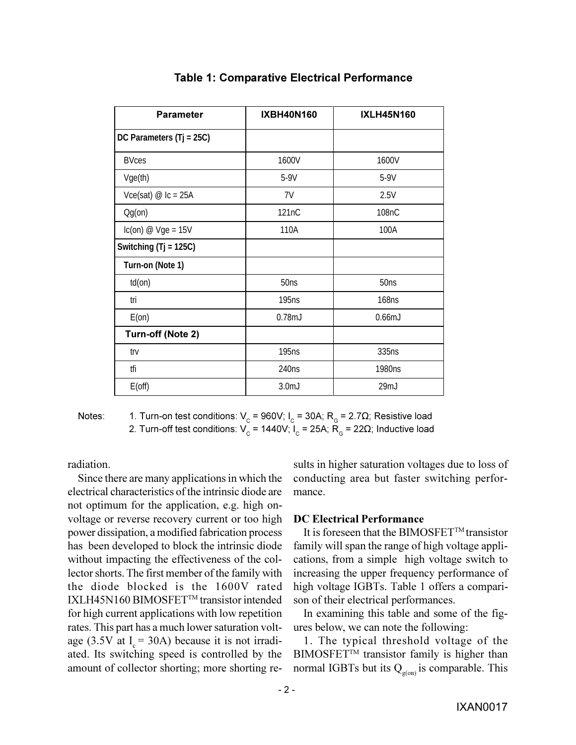| <b>Parameter</b>           | <b>IXBH40N160</b> | <b>IXLH45N160</b> |
|----------------------------|-------------------|-------------------|
| DC Parameters $(Tj = 25C)$ |                   |                   |
| <b>BVces</b>               | 1600V             | 1600V             |
| Vge(th)                    | $5-9V$            | $5-9V$            |
| Vce(sat) $\omega$ Ic = 25A | 7V                | 2.5V              |
| $Og($ on $)$               | 121nC             | 108nC             |
| $lc(on) @ Vge = 15V$       | 110A              | 100A              |
| Switching $(Tj = 125C)$    |                   |                   |
| Turn-on (Note 1)           |                   |                   |
| $td($ on $)$               | 50ns              | 50ns              |
| tri                        | 195 <sub>ns</sub> | 168 <sub>ns</sub> |
| $E($ on $)$                | 0.78 <sub>m</sub> | 0.66 <sub>m</sub> |
| Turn-off (Note 2)          |                   |                   |
| trv                        | 195 <sub>ns</sub> | 335ns             |
| tfi                        | 240 <sub>ns</sub> | 1980ns            |
| $E($ off $)$               | 3.0 <sub>m</sub>  | 29mJ              |

## **Table 1: Comparative Electrical Performance**

Notes: 1. Turn-on test conditions:  $V_c$  = 960V; I<sub>c</sub> = 30A; R<sub>G</sub> = 2.7Ω; Resistive load 2. Turn-off test conditions: V<sub>c</sub> = 1440V; I<sub>c</sub> = 25A; R<sub>G</sub> = 22Ω; Inductive load

radiation.

Since there are many applications in which the electrical characteristics of the intrinsic diode are not optimum for the application, e.g. high onvoltage or reverse recovery current or too high power dissipation, a modified fabrication process has been developed to block the intrinsic diode without impacting the effectiveness of the collector shorts. The first member of the family with the diode blocked is the 1600V rated IXLH45N160 BIMOSFET™ transistor intended for high current applications with low repetition rates. This part has a much lower saturation voltage (3.5V at  $I_c = 30$ A) because it is not irradiated. Its switching speed is controlled by the amount of collector shorting; more shorting results in higher saturation voltages due to loss of conducting area but faster switching performance.

### **DC Electrical Performance**

It is foreseen that the BIMOSFET<sup>TM</sup> transistor family will span the range of high voltage applications, from a simple high voltage switch to increasing the upper frequency performance of high voltage IGBTs. Table 1 offers a comparison of their electrical performances.

In examining this table and some of the figures below, we can note the following:

1. The typical threshold voltage of the BIMOSFET™ transistor family is higher than normal IGBTs but its  $Q_{\sigma(0n)}$  is comparable. This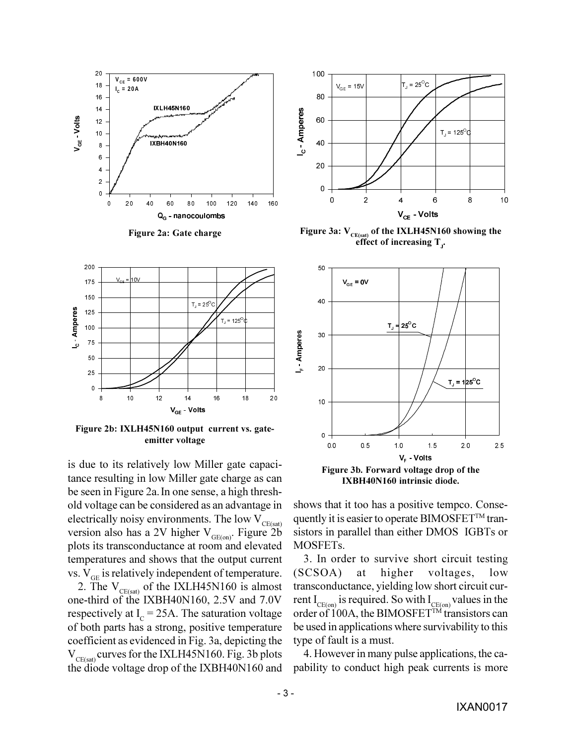

**Figure 2a: Gate charge**



Figure 3a:  $V_{CE(sat)}$  of the IXLH45N160 showing the effect of increasing T<sub>J</sub>.



**Figure 2b: IXLH45N160 output current vs. gateemitter voltage**

is due to its relatively low Miller gate capacitance resulting in low Miller gate charge as can be seen in Figure 2a.In one sense, a high threshold voltage can be considered as an advantage in electrically noisy environments. The low  $V_{CE(sat)}$ version also has a 2V higher  $V_{GE(on)}$ . Figure 2b plots its transconductance at room and elevated temperatures and shows that the output current vs.  $V_{\text{GE}}$  is relatively independent of temperature.

2. The  $V_{CE(sat)}$  of the IXLH45N160 is almost one-third of the IXBH40N160, 2.5V and 7.0V respectively at  $I_c = 25A$ . The saturation voltage of both parts has a strong, positive temperature coefficient as evidenced in Fig. 3a, depicting the  $V_{CE(sat)}$  curves for the IXLH45N160. Fig. 3b plots the diode voltage drop of the IXBH40N160 and



**IXBH40N160 intrinsic diode.**

shows that it too has a positive tempco. Consequently it is easier to operate BIMOSFET<sup>TM</sup> transistors in parallel than either DMOS IGBTs or MOSFETs.

3. In order to survive short circuit testing (SCSOA) at higher voltages, low transconductance, yielding low short circuit current  $I_{CF(on)}$  is required. So with  $I_{CF(on)}$  values in the order of 100A, the BIMOSFET<sup>TM</sup> transistors can be used in applications where survivability to this type of fault is a must.

4. However in many pulse applications, the capability to conduct high peak currents is more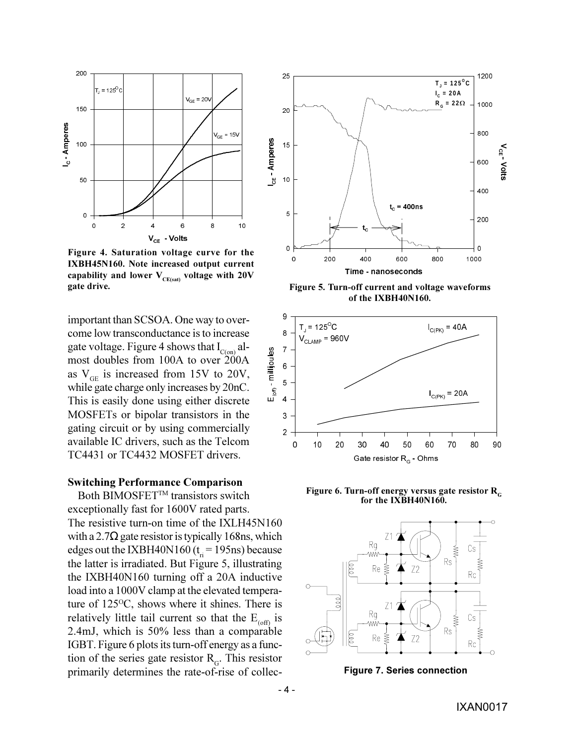

**Figure 4. Saturation voltage curve for the IXBH45N160. Note increased output current** capability and lower  $V_{CE(sat)}$  voltage with 20V **gate drive.**

important than SCSOA. One way to overcome low transconductance is to increase gate voltage. Figure 4 shows that  $I_{C(0n)}$  almost doubles from 100A to over  $200A$ as  $V_{\text{GE}}$  is increased from 15V to 20V, while gate charge only increases by 20nC. This is easily done using either discrete MOSFETs or bipolar transistors in the gating circuit or by using commercially available IC drivers, such as the Telcom TC4431 or TC4432 MOSFET drivers.

#### **Switching Performance Comparison**

Both BIMOSFET<sup>™</sup> transistors switch exceptionally fast for 1600V rated parts. The resistive turn-on time of the IXLH45N160 with a 2.7 $\Omega$  gate resistor is typically 168ns, which edges out the IXBH40N160 ( $t<sub>ri</sub>$  = 195ns) because the latter is irradiated. But Figure 5, illustrating the IXBH40N160 turning off a 20A inductive load into a 1000V clamp at the elevated temperature of  $125^{\circ}$ C, shows where it shines. There is relatively little tail current so that the  $E_{(off)}$  is 2.4mJ, which is 50% less than a comparable IGBT. Figure 6 plots its turn-off energy as a function of the series gate resistor  $R<sub>G</sub>$ . This resistor primarily determines the rate-of-rise of collec-



**Figure 5. Turn-off current and voltage waveforms of the IXBH40N160.**



Figure 6. Turn-off energy versus gate resistor R<sub>*C*</sub> **for the IXBH40N160.**



**Figure 7. Series connection**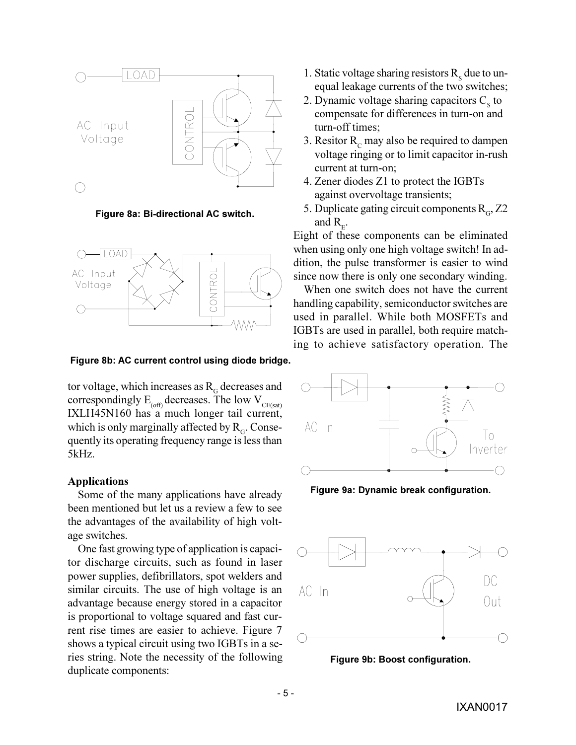

**Figure 8a: Bi-directional AC switch.**



**Figure 8b: AC current control using diode bridge.**

tor voltage, which increases as  $R<sub>G</sub>$  decreases and correspondingly  $E_{(off)}$  decreases. The low  $V_{CE(sat)}$ IXLH45N160 has a much longer tail current, which is only marginally affected by  $R<sub>G</sub>$ . Consequently its operating frequency range is less than 5kHz.

### **Applications**

Some of the many applications have already been mentioned but let us a review a few to see the advantages of the availability of high voltage switches.

One fast growing type of application is capacitor discharge circuits, such as found in laser power supplies, defibrillators, spot welders and similar circuits. The use of high voltage is an advantage because energy stored in a capacitor is proportional to voltage squared and fast current rise times are easier to achieve. Figure 7 shows a typical circuit using two IGBTs in a series string. Note the necessity of the following duplicate components:

- 1. Static voltage sharing resistors  $R_s$  due to unequal leakage currents of the two switches;
- 2. Dynamic voltage sharing capacitors  $C_s$  to compensate for differences in turn-on and turn-off times;
- 3. Resitor  $R_c$  may also be required to dampen voltage ringing or to limit capacitor in-rush current at turn-on;
- 4. Zener diodes Z1 to protect the IGBTs against overvoltage transients;
- 5. Duplicate gating circuit components  $R<sub>G</sub>$ , Z2 and  $R_{E}$ .

Eight of these components can be eliminated when using only one high voltage switch! In addition, the pulse transformer is easier to wind since now there is only one secondary winding.

When one switch does not have the current handling capability, semiconductor switches are used in parallel. While both MOSFETs and IGBTs are used in parallel, both require matching to achieve satisfactory operation. The



**Figure 9a: Dynamic break configuration.**



**Figure 9b: Boost configuration.**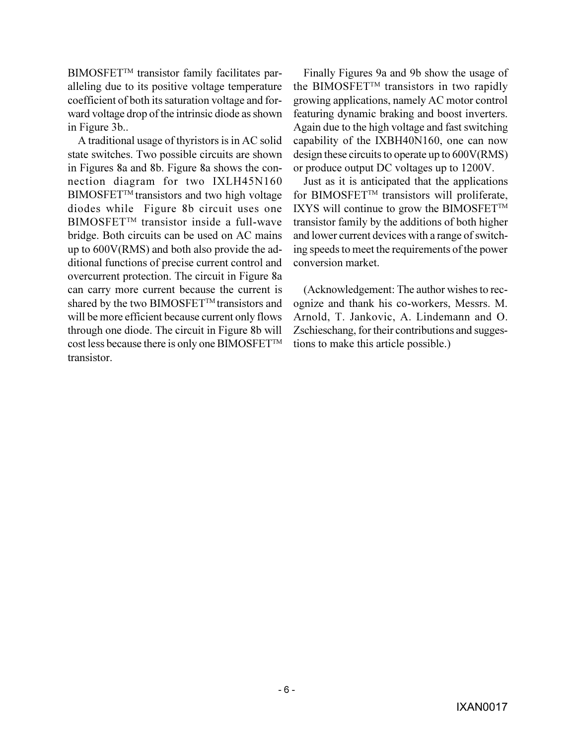BIMOSFET<sup>™</sup> transistor family facilitates paralleling due to its positive voltage temperature coefficient of both its saturation voltage and forward voltage drop of the intrinsic diode as shown in Figure 3b..

A traditional usage of thyristors is in AC solid state switches. Two possible circuits are shown in Figures 8a and 8b. Figure 8a shows the connection diagram for two IXLH45N160  $\text{BIMOSFET}^{\text{TM}}$  transistors and two high voltage diodes while Figure 8b circuit uses one BIMOSFET<sup>™</sup> transistor inside a full-wave bridge. Both circuits can be used on AC mains up to 600V(RMS) and both also provide the additional functions of precise current control and overcurrent protection. The circuit in Figure 8a can carry more current because the current is shared by the two BIMOSFET<sup>TM</sup> transistors and will be more efficient because current only flows through one diode. The circuit in Figure 8b will cost less because there is only one BIMOSFET™ transistor.

Finally Figures 9a and 9b show the usage of the BIMOSFET<sup>TM</sup> transistors in two rapidly growing applications, namely AC motor control featuring dynamic braking and boost inverters. Again due to the high voltage and fast switching capability of the IXBH40N160, one can now design these circuits to operate up to 600V(RMS) or produce output DC voltages up to 1200V.

Just as it is anticipated that the applications for BIMOSFET™ transistors will proliferate, IXYS will continue to grow the BIMOSFET<sup>TM</sup> transistor family by the additions of both higher and lower current devices with a range of switching speeds to meet the requirements of the power conversion market.

(Acknowledgement: The author wishes to recognize and thank his co-workers, Messrs. M. Arnold, T. Jankovic, A. Lindemann and O. Zschieschang, for their contributions and suggestions to make this article possible.)